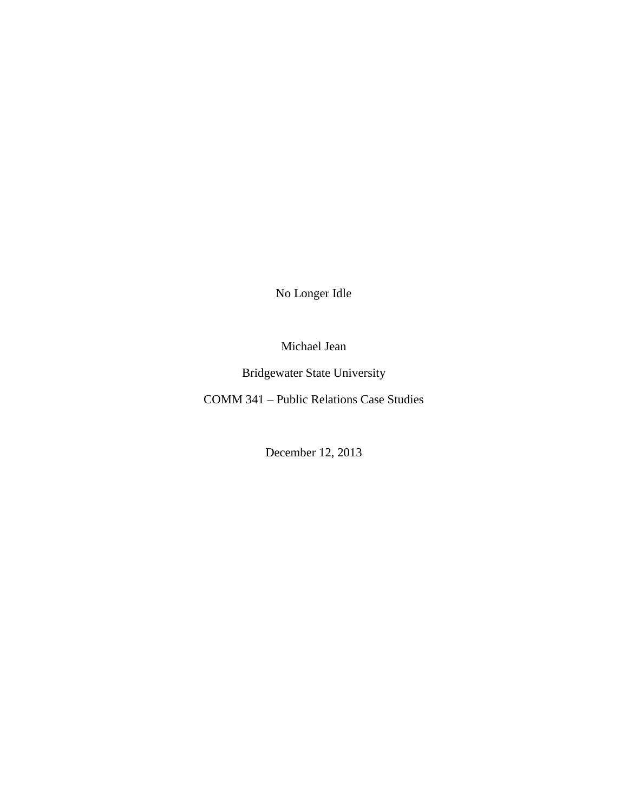No Longer Idle

Michael Jean

Bridgewater State University

COMM 341 – Public Relations Case Studies

December 12, 2013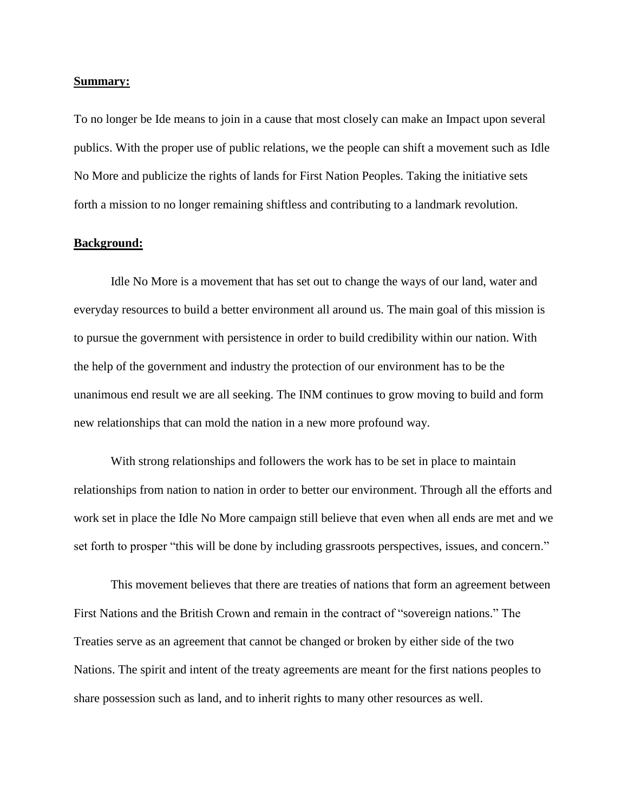#### **Summary:**

To no longer be Ide means to join in a cause that most closely can make an Impact upon several publics. With the proper use of public relations, we the people can shift a movement such as Idle No More and publicize the rights of lands for First Nation Peoples. Taking the initiative sets forth a mission to no longer remaining shiftless and contributing to a landmark revolution.

## **Background:**

Idle No More is a movement that has set out to change the ways of our land, water and everyday resources to build a better environment all around us. The main goal of this mission is to pursue the government with persistence in order to build credibility within our nation. With the help of the government and industry the protection of our environment has to be the unanimous end result we are all seeking. The INM continues to grow moving to build and form new relationships that can mold the nation in a new more profound way.

With strong relationships and followers the work has to be set in place to maintain relationships from nation to nation in order to better our environment. Through all the efforts and work set in place the Idle No More campaign still believe that even when all ends are met and we set forth to prosper "this will be done by including grassroots perspectives, issues, and concern."

This movement believes that there are treaties of nations that form an agreement between First Nations and the British Crown and remain in the contract of "sovereign nations." The Treaties serve as an agreement that cannot be changed or broken by either side of the two Nations. The spirit and intent of the treaty agreements are meant for the first nations peoples to share possession such as land, and to inherit rights to many other resources as well.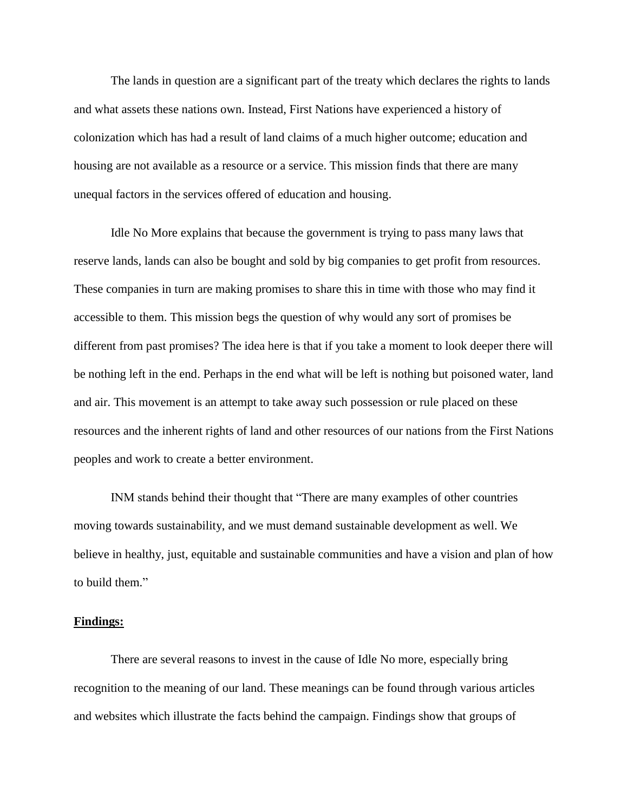The lands in question are a significant part of the treaty which declares the rights to lands and what assets these nations own. Instead, First Nations have experienced a history of colonization which has had a result of land claims of a much higher outcome; education and housing are not available as a resource or a service. This mission finds that there are many unequal factors in the services offered of education and housing.

Idle No More explains that because the government is trying to pass many laws that reserve lands, lands can also be bought and sold by big companies to get profit from resources. These companies in turn are making promises to share this in time with those who may find it accessible to them. This mission begs the question of why would any sort of promises be different from past promises? The idea here is that if you take a moment to look deeper there will be nothing left in the end. Perhaps in the end what will be left is nothing but poisoned water, land and air. This movement is an attempt to take away such possession or rule placed on these resources and the inherent rights of land and other resources of our nations from the First Nations peoples and work to create a better environment.

INM stands behind their thought that "There are many examples of other countries moving towards sustainability, and we must demand sustainable development as well. We believe in healthy, just, equitable and sustainable communities and have a vision and plan of how to build them."

#### **Findings:**

There are several reasons to invest in the cause of Idle No more, especially bring recognition to the meaning of our land. These meanings can be found through various articles and websites which illustrate the facts behind the campaign. Findings show that groups of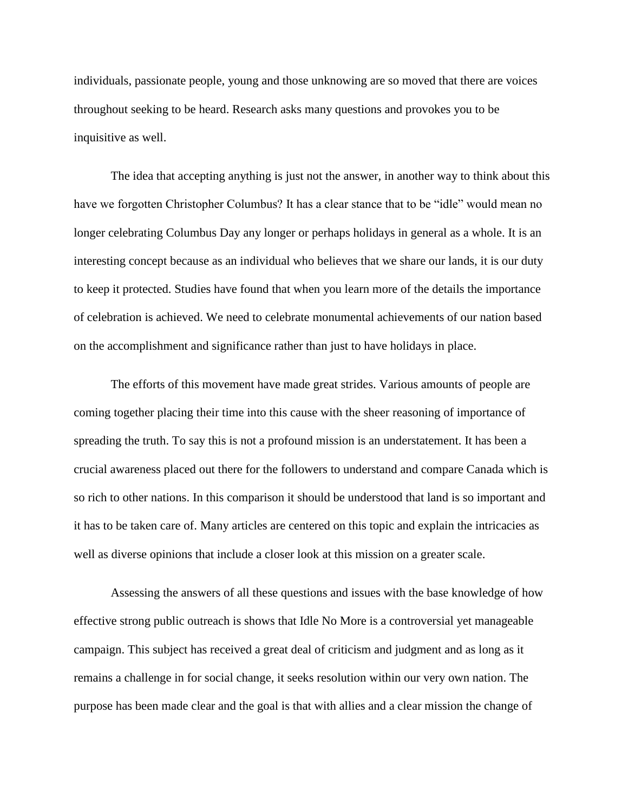individuals, passionate people, young and those unknowing are so moved that there are voices throughout seeking to be heard. Research asks many questions and provokes you to be inquisitive as well.

The idea that accepting anything is just not the answer, in another way to think about this have we forgotten Christopher Columbus? It has a clear stance that to be "idle" would mean no longer celebrating Columbus Day any longer or perhaps holidays in general as a whole. It is an interesting concept because as an individual who believes that we share our lands, it is our duty to keep it protected. Studies have found that when you learn more of the details the importance of celebration is achieved. We need to celebrate monumental achievements of our nation based on the accomplishment and significance rather than just to have holidays in place.

The efforts of this movement have made great strides. Various amounts of people are coming together placing their time into this cause with the sheer reasoning of importance of spreading the truth. To say this is not a profound mission is an understatement. It has been a crucial awareness placed out there for the followers to understand and compare Canada which is so rich to other nations. In this comparison it should be understood that land is so important and it has to be taken care of. Many articles are centered on this topic and explain the intricacies as well as diverse opinions that include a closer look at this mission on a greater scale.

Assessing the answers of all these questions and issues with the base knowledge of how effective strong public outreach is shows that Idle No More is a controversial yet manageable campaign. This subject has received a great deal of criticism and judgment and as long as it remains a challenge in for social change, it seeks resolution within our very own nation. The purpose has been made clear and the goal is that with allies and a clear mission the change of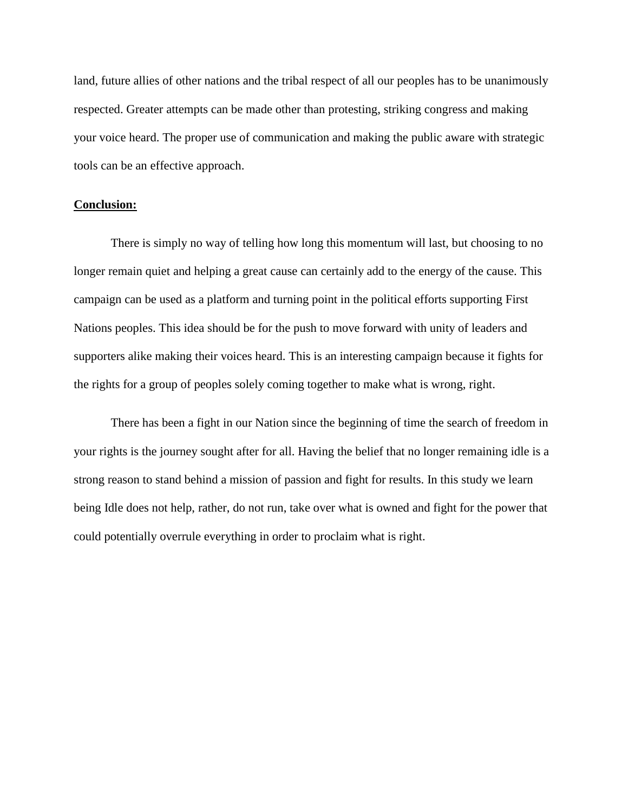land, future allies of other nations and the tribal respect of all our peoples has to be unanimously respected. Greater attempts can be made other than protesting, striking congress and making your voice heard. The proper use of communication and making the public aware with strategic tools can be an effective approach.

### **Conclusion:**

There is simply no way of telling how long this momentum will last, but choosing to no longer remain quiet and helping a great cause can certainly add to the energy of the cause. This campaign can be used as a platform and turning point in the political efforts supporting First Nations peoples. This idea should be for the push to move forward with unity of leaders and supporters alike making their voices heard. This is an interesting campaign because it fights for the rights for a group of peoples solely coming together to make what is wrong, right.

There has been a fight in our Nation since the beginning of time the search of freedom in your rights is the journey sought after for all. Having the belief that no longer remaining idle is a strong reason to stand behind a mission of passion and fight for results. In this study we learn being Idle does not help, rather, do not run, take over what is owned and fight for the power that could potentially overrule everything in order to proclaim what is right.